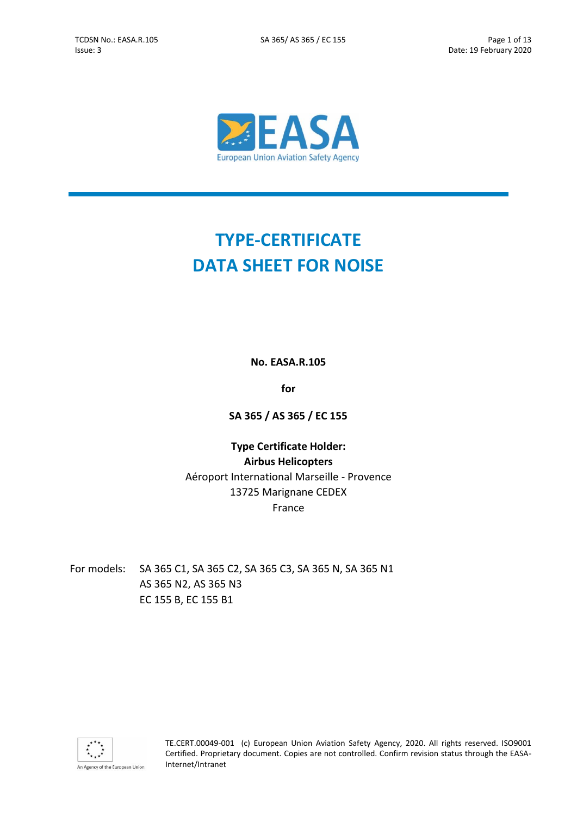

## **TYPE-CERTIFICATE DATA SHEET FOR NOISE**

**No. EASA.R.105**

**for**

**SA 365 / AS 365 / EC 155**

**Type Certificate Holder: Airbus Helicopters** Aéroport International Marseille - Provence 13725 Marignane CEDEX France

For models: SA 365 C1, SA 365 C2, SA 365 C3, SA 365 N, SA 365 N1 AS 365 N2, AS 365 N3 EC 155 B, EC 155 B1

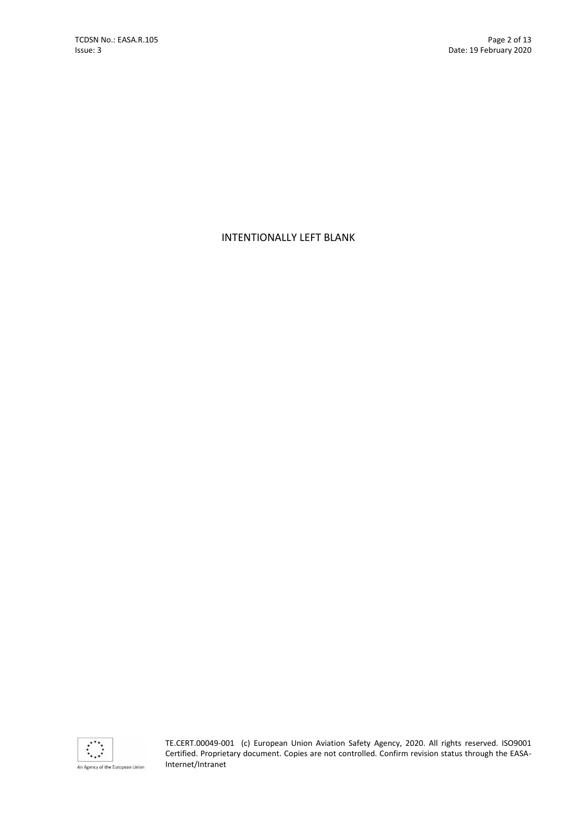## INTENTIONALLY LEFT BLANK

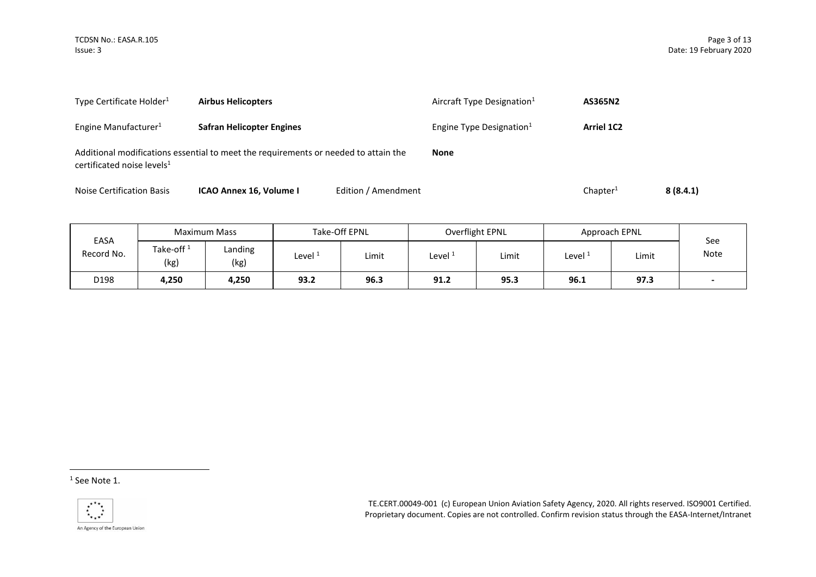| Type Certificate Holder <sup>1</sup>   | <b>Airbus Helicopters</b>                                                           |                     | Aircraft Type Designation <sup>1</sup> | AS365N2              |          |
|----------------------------------------|-------------------------------------------------------------------------------------|---------------------|----------------------------------------|----------------------|----------|
| Engine Manufacturer <sup>1</sup>       | <b>Safran Helicopter Engines</b>                                                    |                     | Engine Type Designation <sup>1</sup>   | Arriel 1C2           |          |
| certificated noise levels <sup>1</sup> | Additional modifications essential to meet the requirements or needed to attain the |                     | <b>None</b>                            |                      |          |
| Noise Certification Basis              | <b>ICAO Annex 16, Volume I</b>                                                      | Edition / Amendment |                                        | Chapter <sup>1</sup> | 8(8.4.1) |

|                    | <b>Maximum Mass</b>   |                 | Take-Off EPNL |       | Overflight EPNL    |       | Approach EPNL |       |             |
|--------------------|-----------------------|-----------------|---------------|-------|--------------------|-------|---------------|-------|-------------|
| EASA<br>Record No. | Take-off $^1$<br>(kg) | Landing<br>(kg) | Level         | Limit | Level <sup>:</sup> | Limit | Level         | Limit | See<br>Note |
| D198               | 4,250                 | 4,250           | 93.2          | 96.3  | 91.2               | 95.3  | 96.1          | 97.3  |             |

1 See Note 1.

 $\overline{a}$ 

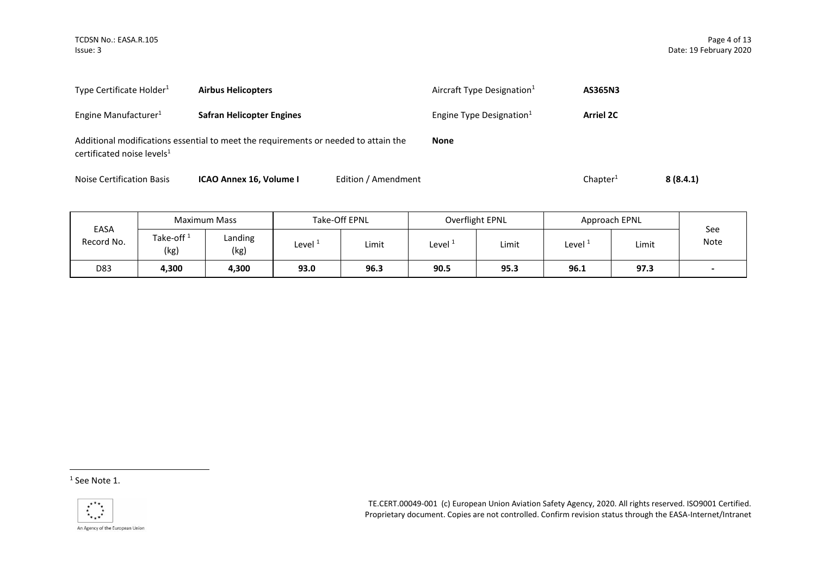TCDSN No.: EASA.R.105 Page 4 of 13

| Type Certificate Holder <sup>1</sup>   | <b>Airbus Helicopters</b>                                                           |                     | Aircraft Type Designation <sup>1</sup> | AS365N3              |          |
|----------------------------------------|-------------------------------------------------------------------------------------|---------------------|----------------------------------------|----------------------|----------|
| Engine Manufacturer <sup>1</sup>       | <b>Safran Helicopter Engines</b>                                                    |                     | Engine Type Designation <sup>1</sup>   | <b>Arriel 2C</b>     |          |
| certificated noise levels <sup>1</sup> | Additional modifications essential to meet the requirements or needed to attain the |                     | None                                   |                      |          |
| Noise Certification Basis              | ICAO Annex 16, Volume I                                                             | Edition / Amendment |                                        | Chapter <sup>1</sup> | 8(8.4.1) |

|                    | <b>Maximum Mass</b>           |                 | Take-Off EPNL |       | Overflight EPNL |       | Approach EPNL    |       |             |
|--------------------|-------------------------------|-----------------|---------------|-------|-----------------|-------|------------------|-------|-------------|
| EASA<br>Record No. | Take-off <sup>1</sup><br>(kg) | Landing<br>(kg) | Level         | Limit | Level           | Limit | Level $^{\circ}$ | Limit | See<br>Note |
| D83                | 4,300                         | 4,300           | 93.0          | 96.3  | 90.5            | 95.3  | 96.1             | 97.3  |             |

1 See Note 1.

 $\overline{a}$ 

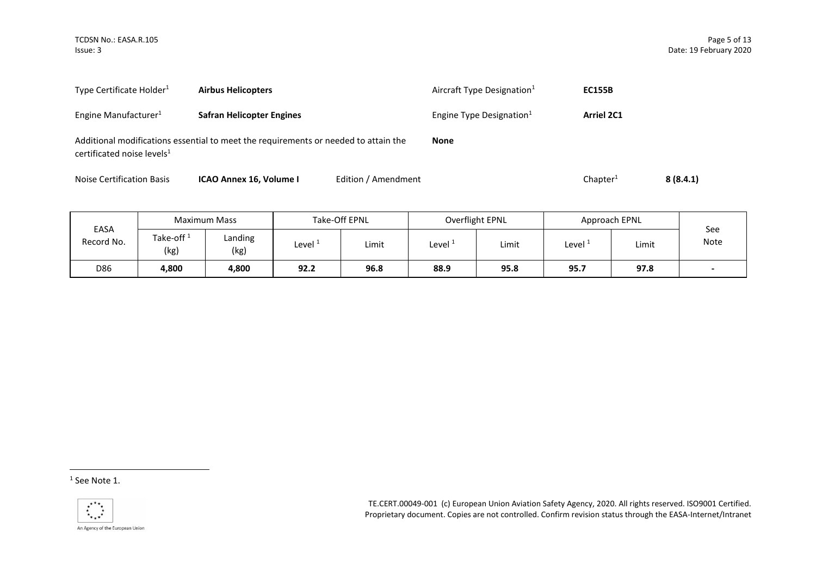TCDSN No.: EASA.R.105 Page 5 of 13

| Type Certificate Holder <sup>1</sup>   | <b>Airbus Helicopters</b>                                                           |                     | Aircraft Type Designation <sup>1</sup> | <b>EC155B</b>        |          |
|----------------------------------------|-------------------------------------------------------------------------------------|---------------------|----------------------------------------|----------------------|----------|
| Engine Manufacturer <sup>1</sup>       | Safran Helicopter Engines                                                           |                     | Engine Type Designation <sup>1</sup>   | <b>Arriel 2C1</b>    |          |
| certificated noise levels <sup>1</sup> | Additional modifications essential to meet the requirements or needed to attain the |                     | <b>None</b>                            |                      |          |
| Noise Certification Basis              | ICAO Annex 16, Volume I                                                             | Edition / Amendment |                                        | Chapter <sup>1</sup> | 8(8.4.1) |

|                    | <b>Maximum Mass</b>           |                 | Take-Off EPNL |       | Overflight EPNL |       | Approach EPNL    |       |             |
|--------------------|-------------------------------|-----------------|---------------|-------|-----------------|-------|------------------|-------|-------------|
| EASA<br>Record No. | Take-off <sup>1</sup><br>(kg) | Landing<br>(kg) | Level         | Limit | Level           | Limit | Level $^{\circ}$ | Limit | See<br>Note |
| D86                | 4,800                         | 4,800           | 92.2          | 96.8  | 88.9            | 95.8  | 95.7             | 97.8  |             |

1 See Note 1.

 $\overline{a}$ 

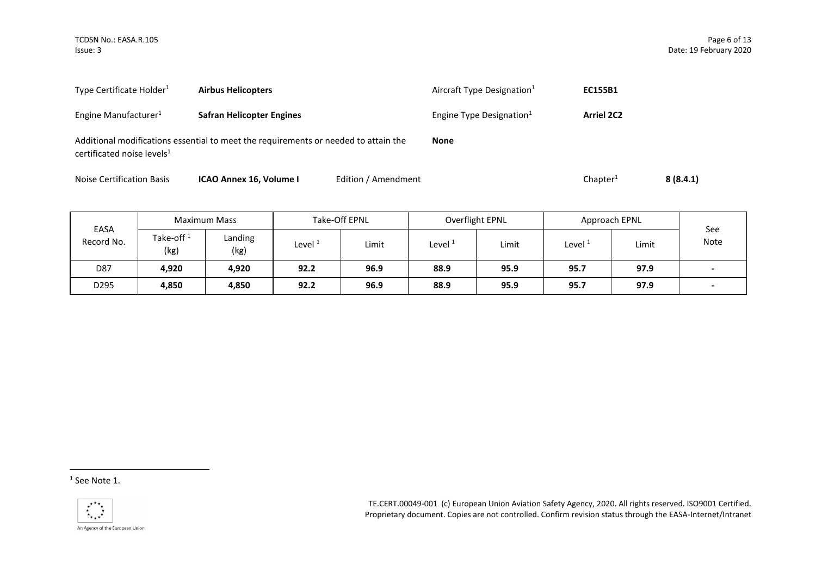TCDSN No.: EASA.R.105 Page 6 of 13<br>Issue: 3 Date: 19 February 2020

| Type Certificate Holder <sup>1</sup>   | <b>Airbus Helicopters</b>                                                           |                     | Aircraft Type Designation <sup>1</sup> | <b>EC155B1</b>       |          |
|----------------------------------------|-------------------------------------------------------------------------------------|---------------------|----------------------------------------|----------------------|----------|
| Engine Manufacturer <sup>1</sup>       | <b>Safran Helicopter Engines</b>                                                    |                     | Engine Type Designation <sup>1</sup>   | <b>Arriel 2C2</b>    |          |
| certificated noise levels <sup>1</sup> | Additional modifications essential to meet the requirements or needed to attain the |                     | <b>None</b>                            |                      |          |
| Noise Certification Basis              | <b>ICAO Annex 16, Volume I</b>                                                      | Edition / Amendment |                                        | Chapter <sup>1</sup> | 8(8.4.1) |

|                    | <b>Maximum Mass</b>   |                 | Take-Off EPNL      |       | Overflight EPNL |       | Approach EPNL      |       |             |
|--------------------|-----------------------|-----------------|--------------------|-------|-----------------|-------|--------------------|-------|-------------|
| EASA<br>Record No. | Take-off $^1$<br>(kg) | Landing<br>(kg) | Level <sup>:</sup> | Limit | Level           | Limit | Level <sup>:</sup> | Limit | See<br>Note |
| D87                | 4,920                 | 4,920           | 92.2               | 96.9  | 88.9            | 95.9  | 95.7               | 97.9  |             |
| D295               | 4,850                 | 4,850           | 92.2               | 96.9  | 88.9            | 95.9  | 95.7               | 97.9  |             |

1 See Note 1.

 $\overline{a}$ 

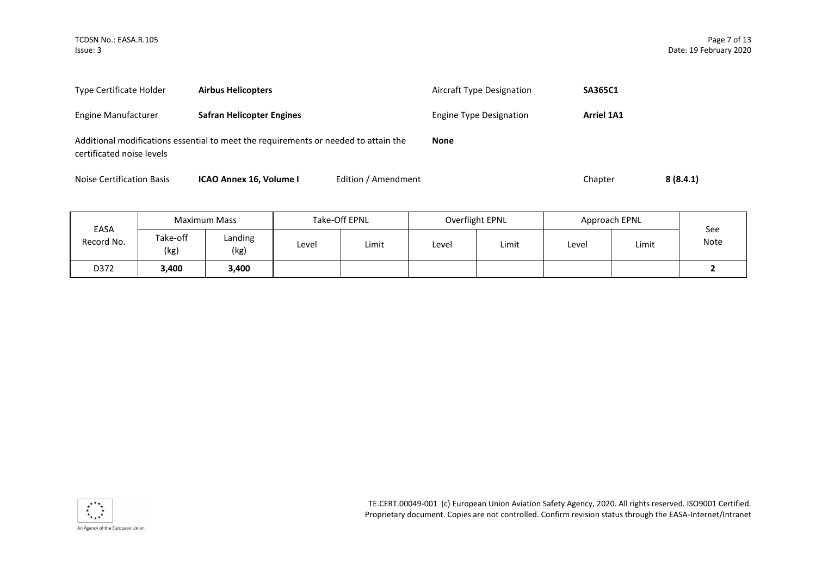TCDSN No.: EASA.R.105 Page 7 of 13<br>Issue: 3 Date: 19 February 2020

| <b>Type Certificate Holder</b> | <b>Airbus Helicopters</b>                                                           |                     | <b>Aircraft Type Designation</b> | <b>SA365C1</b>    |          |
|--------------------------------|-------------------------------------------------------------------------------------|---------------------|----------------------------------|-------------------|----------|
| <b>Engine Manufacturer</b>     | <b>Safran Helicopter Engines</b>                                                    |                     | <b>Engine Type Designation</b>   | <b>Arriel 1A1</b> |          |
| certificated noise levels      | Additional modifications essential to meet the requirements or needed to attain the |                     | None                             |                   |          |
| Noise Certification Basis      | <b>ICAO Annex 16, Volume I</b>                                                      | Edition / Amendment |                                  | Chapter           | 8(8.4.1) |

|                    | Maximum Mass     |                 | Take-Off EPNL |       | Overflight EPNL |       | Approach EPNL |       |             |
|--------------------|------------------|-----------------|---------------|-------|-----------------|-------|---------------|-------|-------------|
| EASA<br>Record No. | Take-off<br>(kg) | Landing<br>(kg) | Level         | Limit | Level           | Limit | Level         | Limit | See<br>Note |
| D372               | 3,400            | 3,400           |               |       |                 |       |               |       |             |

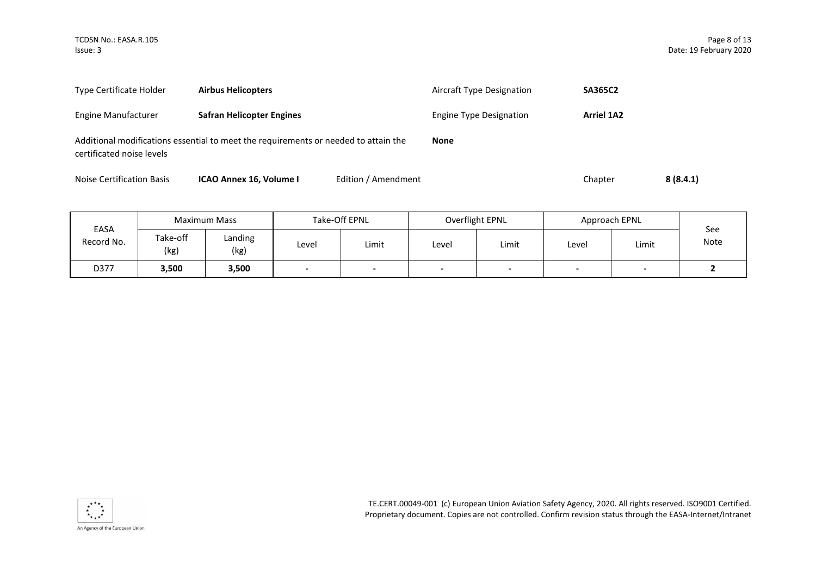TCDSN No.: EASA.R.105 Page 8 of 13<br>Issue: 3 Date: 19 February 2020

| Type Certificate Holder   | <b>Airbus Helicopters</b>                                                           |                     | Aircraft Type Designation      | <b>SA365C2</b>    |          |
|---------------------------|-------------------------------------------------------------------------------------|---------------------|--------------------------------|-------------------|----------|
| Engine Manufacturer       | Safran Helicopter Engines                                                           |                     | <b>Engine Type Designation</b> | <b>Arriel 1A2</b> |          |
| certificated noise levels | Additional modifications essential to meet the requirements or needed to attain the |                     | <b>None</b>                    |                   |          |
| Noise Certification Basis | ICAO Annex 16, Volume I                                                             | Edition / Amendment |                                | Chapter           | 8(8.4.1) |

|                    | <b>Maximum Mass</b> |                 | Take-Off EPNL |       | Overflight EPNL |       | Approach EPNL |       |             |
|--------------------|---------------------|-----------------|---------------|-------|-----------------|-------|---------------|-------|-------------|
| EASA<br>Record No. | Take-off<br>(kg)    | Landing<br>(kg) | Level         | Limit | Level           | Limit | Level         | Limit | See<br>Note |
| D377               | 3,500               | 3,500           |               |       |                 |       |               |       |             |

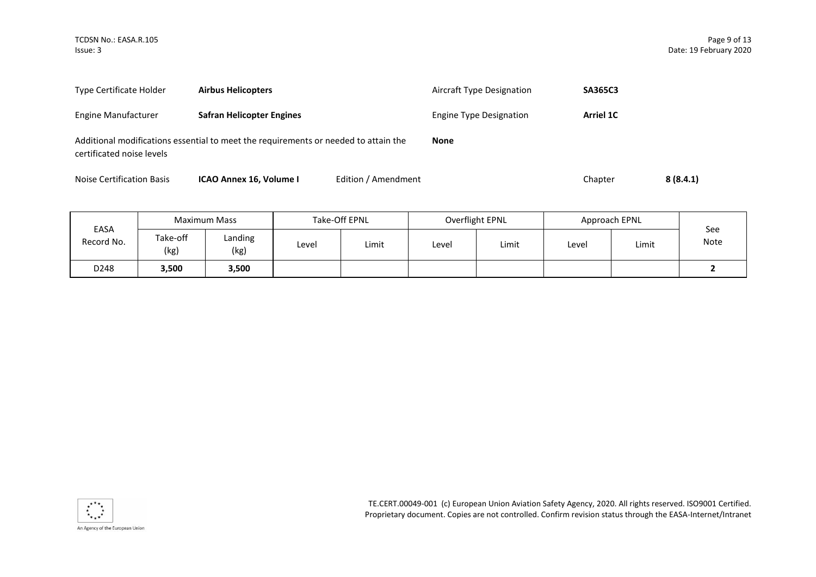TCDSN No.: EASA.R.105 Page 9 of 13<br>Issue: 3 Date: 19 February 2020

| <b>Type Certificate Holder</b> | <b>Airbus Helicopters</b>                                                           |                     | <b>Aircraft Type Designation</b>            | <b>SA365C3</b> |          |
|--------------------------------|-------------------------------------------------------------------------------------|---------------------|---------------------------------------------|----------------|----------|
| Engine Manufacturer            | <b>Safran Helicopter Engines</b>                                                    |                     | Arriel 1C<br><b>Engine Type Designation</b> |                |          |
| certificated noise levels      | Additional modifications essential to meet the requirements or needed to attain the |                     | None                                        |                |          |
| Noise Certification Basis      | <b>ICAO Annex 16, Volume I</b>                                                      | Edition / Amendment |                                             | Chapter        | 8(8.4.1) |

|                    |                  | Maximum Mass    |       | Take-Off EPNL | Overflight EPNL |       | Approach EPNL |       |             |  |
|--------------------|------------------|-----------------|-------|---------------|-----------------|-------|---------------|-------|-------------|--|
| EASA<br>Record No. | Take-off<br>(kg) | Landing<br>(kg) | Level | Limit         | Level           | Limit | Level         | Limit | See<br>Note |  |
| D248               | 3,500            | 3,500           |       |               |                 |       |               |       |             |  |

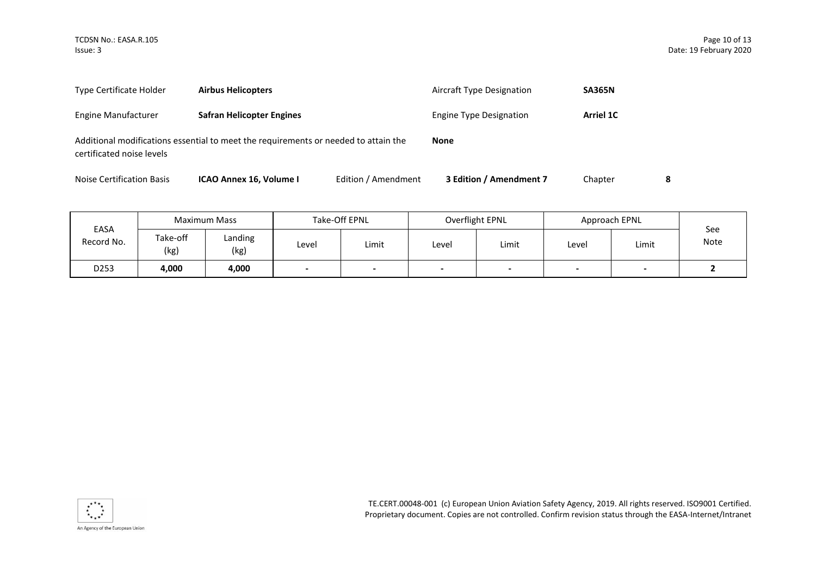TCDSN No.: EASA.R.105 Page 10 of 13

| Type Certificate Holder<br><b>Airbus Helicopters</b> |                                                                                     |                                | Aircraft Type Designation | <b>SA365N</b> |   |
|------------------------------------------------------|-------------------------------------------------------------------------------------|--------------------------------|---------------------------|---------------|---|
| <b>Engine Manufacturer</b>                           | <b>Safran Helicopter Engines</b>                                                    | <b>Engine Type Designation</b> | Arriel 1C                 |               |   |
| certificated noise levels                            | Additional modifications essential to meet the requirements or needed to attain the |                                | <b>None</b>               |               |   |
| Noise Certification Basis                            | ICAO Annex 16, Volume I                                                             | Edition / Amendment            | 3 Edition / Amendment 7   | Chapter       | 8 |

|                    |                  | Maximum Mass    |       | Take-Off EPNL<br>Overflight EPNL |       | Approach EPNL            |       |       |             |
|--------------------|------------------|-----------------|-------|----------------------------------|-------|--------------------------|-------|-------|-------------|
| EASA<br>Record No. | Take-off<br>(kg) | Landing<br>(kg) | Level | Limit                            | Level | Limit                    | Level | Limit | See<br>Note |
| D253               | 4,000            | 4,000           |       |                                  |       | $\overline{\phantom{a}}$ |       |       |             |

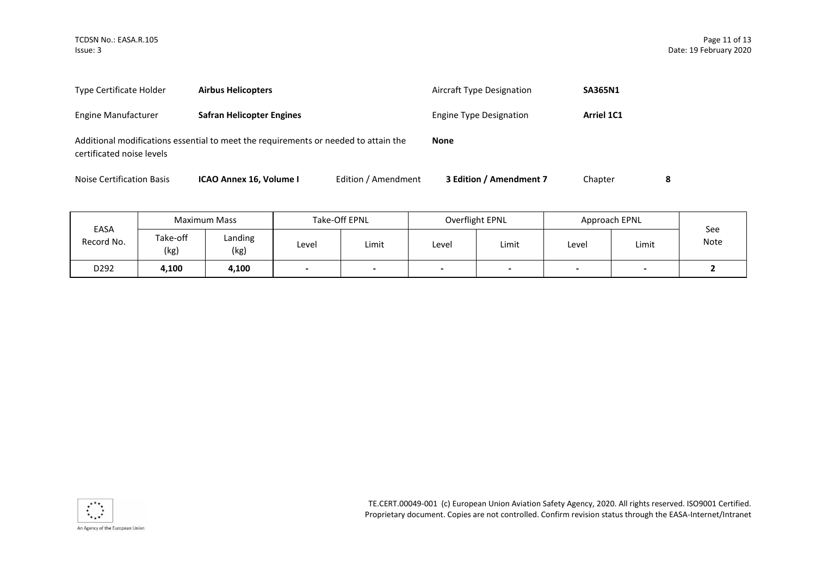TCDSN No.: EASA.R.105 Page 11 of 13

| Type Certificate Holder<br><b>Airbus Helicopters</b> |                                                                                     |                     | Aircraft Type Designation | <b>SA365N1</b> |  |
|------------------------------------------------------|-------------------------------------------------------------------------------------|---------------------|---------------------------|----------------|--|
| <b>Engine Manufacturer</b>                           | <b>Safran Helicopter Engines</b>                                                    |                     |                           | Arriel 1C1     |  |
| certificated noise levels                            | Additional modifications essential to meet the requirements or needed to attain the |                     | <b>None</b>               |                |  |
| Noise Certification Basis                            | ICAO Annex 16, Volume I                                                             | Edition / Amendment | 3 Edition / Amendment 7   | Chapter        |  |

| EASA       |                  | <b>Maximum Mass</b> |       | Take-Off EPNL<br>Overflight EPNL |       | Approach EPNL |       |       |             |
|------------|------------------|---------------------|-------|----------------------------------|-------|---------------|-------|-------|-------------|
| Record No. | Take-off<br>(kg) | Landing<br>(kg)     | Level | Limit                            | Level | Limit         | Level | Limit | See<br>Note |
| D292       | 4,100            | 4,100               |       | $\overline{\phantom{0}}$         |       | -             |       |       |             |

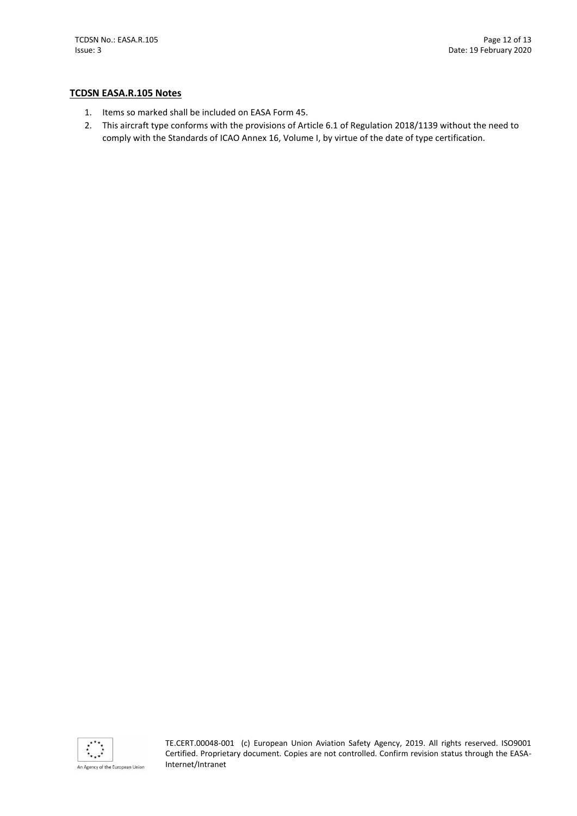## **TCDSN EASA.R.105 Notes**

- 1. Items so marked shall be included on EASA Form 45.
- 2. This aircraft type conforms with the provisions of Article 6.1 of Regulation 2018/1139 without the need to comply with the Standards of ICAO Annex 16, Volume I, by virtue of the date of type certification.